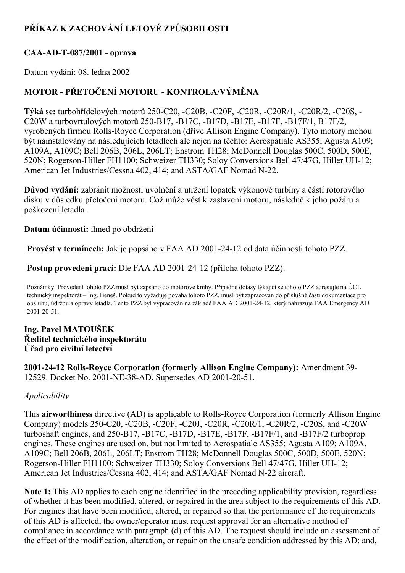# PŘÍKAZ K ZACHOVÁNÍ LETOVÉ ZPŮSOBILOSTI

#### CAA-AD-T-087/2001 - oprava

Datum vydání: 08. ledna 2002

## MOTOR PŘETOČENÍ MOTORU KONTROLA/VÝMĚNA

Týká se: turbohřídelových motorů 250-C20, -C20B, -C20F, -C20R, -C20R/1, -C20R/2, -C20S, -C20W a turbovrtulových motorů 250-B17, -B17C, -B17D, -B17E, -B17F, -B17F/1, B17F/2, vyrobených firmou Rolls-Royce Corporation (dříve Allison Engine Company). Tyto motory mohou být nainstalovány na následujících letadlech ale nejen na těchto: Aerospatiale AS355; Agusta A109; A109A, A109C; Bell 206B, 206L, 206LT; Enstrom TH28; McDonnell Douglas 500C, 500D, 500E, 520N; Rogerson-Hiller FH1100; Schweizer TH330; Soloy Conversions Bell 47/47G, Hiller UH-12; American Jet Industries/Cessna 402, 414; and ASTA/GAF Nomad N-22.

Důvod vydání: zabránit možnosti uvolnění a utržení lopatek výkonové turbíny a částí rotorového disku v důsledku přetočení motoru. Což může vést k zastavení motoru, následně k jeho požáru a poškození letadla.

#### Datum účinnosti: ihned po obdržení

Provést v termínech: Jak je popsáno v FAA AD 2001-24-12 od data účinnosti tohoto PZZ.

Postup provedení prací: Dle FAA AD 2001-24-12 (příloha tohoto PZZ).

Poznámky: Provedení tohoto PZZ musí být zapsáno do motorové knihy. Případné dotazy týkající se tohoto PZZ adresujte na ÚCL technický inspektorát – Ing. Beneš. Pokud to vyžaduje povaha tohoto PZZ, musí být zapracován do příslušné části dokumentace pro obsluhu, údržbu a opravy letadla. Tento PZZ byl vypracován na základě FAA AD 2001-24-12, který nahrazuje FAA Emergency AD 2001-20-51.

#### Ing. Pavel MATOUŠEK Ředitel technického inspektorátu Úřad pro civilní letectví

2001-24-12 Rolls-Royce Corporation (formerly Allison Engine Company): Amendment 39-12529. Docket No. 2001-NE-38-AD. Supersedes AD 2001-20-51.

#### Applicability

This **airworthiness** directive (AD) is applicable to Rolls-Royce Corporation (formerly Allison Engine Company) models 250-C20, -C20B, -C20F, -C20J, -C20R, -C20R/1, -C20R/2, -C20S, and -C20W turboshaft engines, and  $250-B17$ ,  $-B17C$ ,  $-B17D$ ,  $-B17E$ ,  $-B17F$ ,  $-B17F/1$ , and  $-B17F/2$  turboprop engines. These engines are used on, but not limited to Aerospatiale AS355; Agusta A109; A109A, A109C; Bell 206B, 206L, 206LT; Enstrom TH28; McDonnell Douglas 500C, 500D, 500E, 520N; Rogerson-Hiller FH1100; Schweizer TH330; Soloy Conversions Bell 47/47G, Hiller UH-12; American Jet Industries/Cessna 402, 414; and ASTA/GAF Nomad N-22 aircraft.

Note 1: This AD applies to each engine identified in the preceding applicability provision, regardless of whether it has been modified, altered, or repaired in the area subject to the requirements of this AD. For engines that have been modified, altered, or repaired so that the performance of the requirements of this AD is affected, the owner/operator must request approval for an alternative method of compliance in accordance with paragraph (d) of this AD. The request should include an assessment of the effect of the modification, alteration, or repair on the unsafe condition addressed by this AD; and,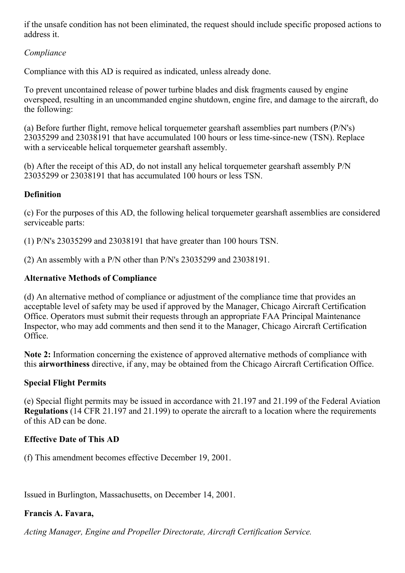if the unsafe condition has not been eliminated, the request should include specific proposed actions to address it.

#### Compliance

Compliance with this AD is required as indicated, unless already done.

To prevent uncontained release of power turbine blades and disk fragments caused by engine overspeed, resulting in an uncommanded engine shutdown, engine fire, and damage to the aircraft, do the following:

(a) Before further flight, remove helical torquemeter gearshaft assemblies part numbers (P/N's) 23035299 and 23038191 that have accumulated 100 hours or less time-since-new (TSN). Replace with a serviceable helical torquemeter gearshaft assembly.

(b) After the receipt of this AD, do not install any helical torquemeter gearshaft assembly P/N 23035299 or 23038191 that has accumulated 100 hours or less TSN.

## **Definition**

(c) For the purposes of this AD, the following helical torquemeter gearshaft assemblies are considered serviceable parts:

(1) P/N's 23035299 and 23038191 that have greater than 100 hours TSN.

(2) An assembly with a P/N other than P/N's 23035299 and 23038191.

## Alternative Methods of Compliance

(d) An alternative method of compliance or adjustment of the compliance time that provides an acceptable level of safety may be used if approved by the Manager, Chicago Aircraft Certification Office. Operators must submit their requests through an appropriate FAA Principal Maintenance Inspector, who may add comments and then send it to the Manager, Chicago Aircraft Certification Office.

Note 2: Information concerning the existence of approved alternative methods of compliance with this airworthiness directive, if any, may be obtained from the Chicago Aircraft Certification Office.

## Special Flight Permits

(e) Special flight permits may be issued in accordance with 21.197 and 21.199 of the Federal Aviation Regulations (14 CFR 21.197 and 21.199) to operate the aircraft to a location where the requirements of this AD can be done.

## Effective Date of This AD

(f) This amendment becomes effective December 19, 2001.

Issued in Burlington, Massachusetts, on December 14, 2001.

## Francis A. Favara,

Acting Manager, Engine and Propeller Directorate, Aircraft Certification Service.